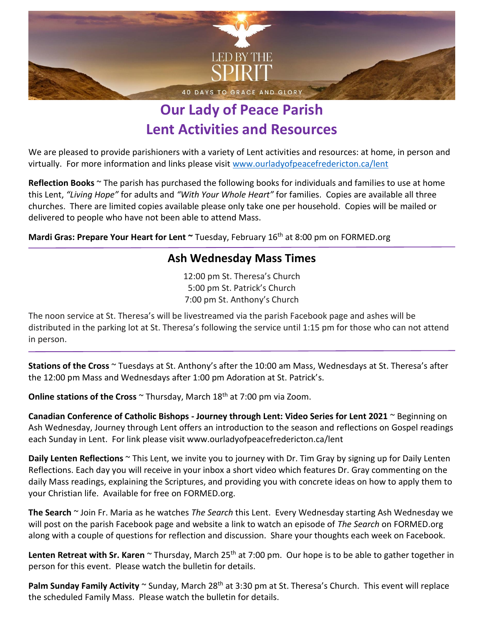

## **Our Lady of Peace Parish Lent Activities and Resources**

We are pleased to provide parishioners with a variety of Lent activities and resources: at home, in person and virtually. For more information and links please visit [www.ourladyofpeacefredericton.ca/lent](http://www.ourladyofpeacefredericton.ca/lent)

**Reflection Books** ~ The parish has purchased the following books for individuals and families to use at home this Lent, *"Living Hope"* for adults and *"With Your Whole Heart"* for families. Copies are available all three churches. There are limited copies available please only take one per household. Copies will be mailed or delivered to people who have not been able to attend Mass.

**Mardi Gras: Prepare Your Heart for Lent ~ Tuesday, February 16<sup>th</sup> at 8:00 pm on FORMED.org** 

#### **Ash Wednesday Mass Times**

12:00 pm St. Theresa's Church 5:00 pm St. Patrick's Church 7:00 pm St. Anthony's Church

The noon service at St. Theresa's will be livestreamed via the parish Facebook page and ashes will be distributed in the parking lot at St. Theresa's following the service until 1:15 pm for those who can not attend in person.

**Stations of the Cross** ~ Tuesdays at St. Anthony's after the 10:00 am Mass, Wednesdays at St. Theresa's after the 12:00 pm Mass and Wednesdays after 1:00 pm Adoration at St. Patrick's.

**Online stations of the Cross** ~ Thursday, March 18<sup>th</sup> at 7:00 pm via Zoom.

**Canadian Conference of Catholic Bishops - Journey through Lent: Video Series for Lent 2021** ~ Beginning on Ash Wednesday, Journey through Lent offers an introduction to the season and reflections on Gospel readings each Sunday in Lent. For link please visit www.ourladyofpeacefredericton.ca/lent

**Daily Lenten Reflections** ~ This Lent, we invite you to journey with Dr. Tim Gray by signing up for Daily Lenten Reflections. Each day you will receive in your inbox a short video which features Dr. Gray commenting on the daily Mass readings, explaining the Scriptures, and providing you with concrete ideas on how to apply them to your Christian life. Available for free on FORMED.org.

**The Search** ~ Join Fr. Maria as he watches *The Search* this Lent. Every Wednesday starting Ash Wednesday we will post on the parish Facebook page and website a link to watch an episode of *The Search* on FORMED.org along with a couple of questions for reflection and discussion. Share your thoughts each week on Facebook.

Lenten Retreat with Sr. Karen ~ Thursday, March 25<sup>th</sup> at 7:00 pm. Our hope is to be able to gather together in person for this event. Please watch the bulletin for details.

Palm Sunday Family Activity ~ Sunday, March 28<sup>th</sup> at 3:30 pm at St. Theresa's Church. This event will replace the scheduled Family Mass. Please watch the bulletin for details.